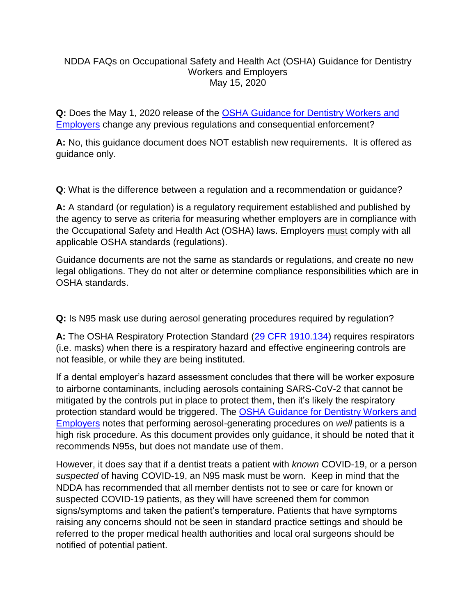## NDDA FAQs on Occupational Safety and Health Act (OSHA) Guidance for Dentistry Workers and Employers May 15, 2020

**Q:** Does the May 1, 2020 release of the [OSHA Guidance for Dentistry Workers](https://www.osha.gov/SLTC/covid-19/dentistry.html) and [Employers](https://www.osha.gov/SLTC/covid-19/dentistry.html) change any previous regulations and consequential enforcement?

**A:** No, this guidance document does NOT establish new requirements. It is offered as guidance only.

**Q**: What is the difference between a regulation and a recommendation or guidance?

**A:** A standard (or regulation) is a regulatory requirement established and published by the agency to serve as criteria for measuring whether employers are in compliance with the Occupational Safety and Health Act (OSHA) laws. Employers must comply with all applicable OSHA standards (regulations).

Guidance documents are not the same as standards or regulations, and create no new legal obligations. They do not alter or determine compliance responsibilities which are in OSHA standards.

**Q:** Is N95 mask use during aerosol generating procedures required by regulation?

**A:** The OSHA Respiratory Protection Standard [\(29 CFR 1910.134\)](https://www.osha.gov/laws-regs/regulations/standardnumber/1910/1910.134) requires respirators (i.e. masks) when there is a respiratory hazard and effective engineering controls are not feasible, or while they are being instituted.

If a dental employer's hazard assessment concludes that there will be worker exposure to airborne contaminants, including aerosols containing SARS-CoV-2 that cannot be mitigated by the controls put in place to protect them, then it's likely the respiratory protection standard would be triggered. The [OSHA Guidance for Dentistry Workers and](https://www.osha.gov/SLTC/covid-19/dentistry.html)  [Employers](https://www.osha.gov/SLTC/covid-19/dentistry.html) notes that performing aerosol-generating procedures on *well* patients is a high risk procedure. As this document provides only guidance, it should be noted that it recommends N95s, but does not mandate use of them.

However, it does say that if a dentist treats a patient with *known* COVID-19, or a person *suspected* of having COVID-19, an N95 mask must be worn. Keep in mind that the NDDA has recommended that all member dentists not to see or care for known or suspected COVID-19 patients, as they will have screened them for common signs/symptoms and taken the patient's temperature. Patients that have symptoms raising any concerns should not be seen in standard practice settings and should be referred to the proper medical health authorities and local oral surgeons should be notified of potential patient.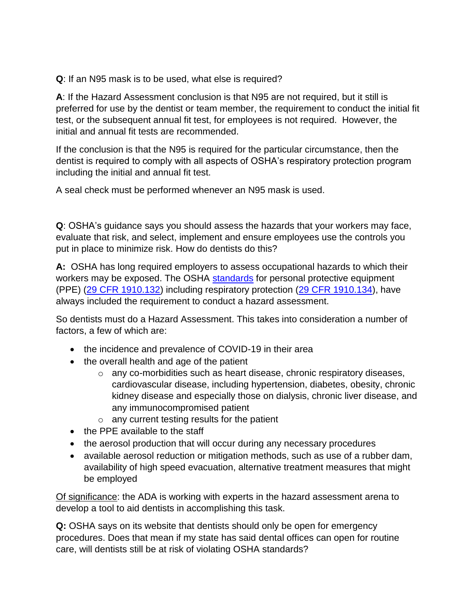**Q**: If an N95 mask is to be used, what else is required?

**A**: If the Hazard Assessment conclusion is that N95 are not required, but it still is preferred for use by the dentist or team member, the requirement to conduct the initial fit test, or the subsequent annual fit test, for employees is not required. However, the initial and annual fit tests are recommended.

If the conclusion is that the N95 is required for the particular circumstance, then the dentist is required to comply with all aspects of OSHA's respiratory protection program including the initial and annual fit test.

A seal check must be performed whenever an N95 mask is used.

**Q**: OSHA's guidance says you should assess the hazards that your workers may face, evaluate that risk, and select, implement and ensure employees use the controls you put in place to minimize risk. How do dentists do this?

**A:** OSHA has long required employers to assess occupational hazards to which their workers may be exposed. The OSHA [standards](https://www.osha.gov/SLTC/covid-19/standards.html) for personal protective equipment (PPE) [\(29 CFR 1910.132\)](https://www.osha.gov/laws-regs/regulations/standardnumber/1910/1910.132) including respiratory protection [\(29 CFR 1910.134\)](https://www.osha.gov/laws-regs/regulations/standardnumber/1910/1910.134), have always included the requirement to conduct a hazard assessment.

So dentists must do a Hazard Assessment. This takes into consideration a number of factors, a few of which are:

- the incidence and prevalence of COVID-19 in their area
- the overall health and age of the patient
	- o any co-morbidities such as heart disease, chronic respiratory diseases, cardiovascular disease, including hypertension, diabetes, obesity, chronic kidney disease and especially those on dialysis, chronic liver disease, and any immunocompromised patient
	- o any current testing results for the patient
- the PPE available to the staff
- the aerosol production that will occur during any necessary procedures
- available aerosol reduction or mitigation methods, such as use of a rubber dam, availability of high speed evacuation, alternative treatment measures that might be employed

Of significance: the ADA is working with experts in the hazard assessment arena to develop a tool to aid dentists in accomplishing this task.

**Q:** OSHA says on its website that dentists should only be open for emergency procedures. Does that mean if my state has said dental offices can open for routine care, will dentists still be at risk of violating OSHA standards?